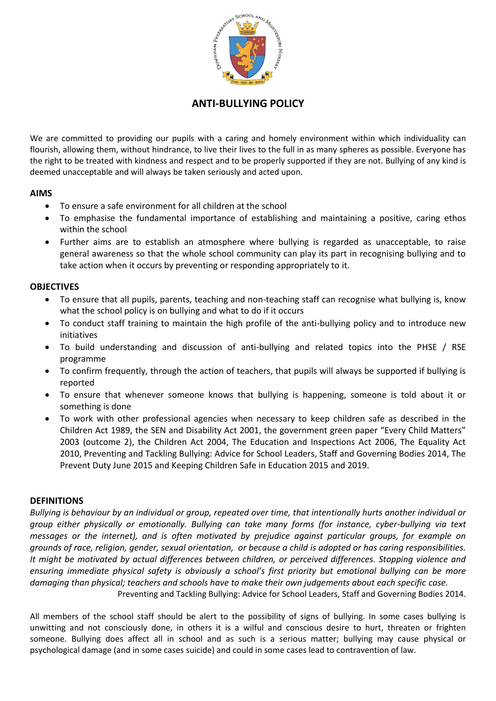

# **ANTI-BULLYING POLICY**

We are committed to providing our pupils with a caring and homely environment within which individuality can flourish, allowing them, without hindrance, to live their lives to the full in as many spheres as possible. Everyone has the right to be treated with kindness and respect and to be properly supported if they are not. Bullying of any kind is deemed unacceptable and will always be taken seriously and acted upon.

#### **AIMS**

- To ensure a safe environment for all children at the school
- To emphasise the fundamental importance of establishing and maintaining a positive, caring ethos within the school
- Further aims are to establish an atmosphere where bullying is regarded as unacceptable, to raise general awareness so that the whole school community can play its part in recognising bullying and to take action when it occurs by preventing or responding appropriately to it.

#### **OBJECTIVES**

- To ensure that all pupils, parents, teaching and non-teaching staff can recognise what bullying is, know what the school policy is on bullying and what to do if it occurs
- To conduct staff training to maintain the high profile of the anti-bullying policy and to introduce new initiatives
- To build understanding and discussion of anti-bullying and related topics into the PHSE / RSE programme
- To confirm frequently, through the action of teachers, that pupils will always be supported if bullying is reported
- To ensure that whenever someone knows that bullying is happening, someone is told about it or something is done
- To work with other professional agencies when necessary to keep children safe as described in the Children Act 1989, the SEN and Disability Act 2001, the government green paper "Every Child Matters" 2003 (outcome 2), the Children Act 2004, The Education and Inspections Act 2006, The Equality Act 2010, Preventing and Tackling Bullying: Advice for School Leaders, Staff and Governing Bodies 2014, The Prevent Duty June 2015 and Keeping Children Safe in Education 2015 and 2019.

#### **DEFINITIONS**

*Bullying is behaviour by an individual or group, repeated over time, that intentionally hurts another individual or group either physically or emotionally. Bullying can take many forms (for instance, cyber-bullying via text messages or the internet), and is often motivated by prejudice against particular groups, for example on grounds of race, religion, gender, sexual orientation, or because a child is adopted or has caring responsibilities. It might be motivated by actual differences between children, or perceived differences. Stopping violence and ensuring immediate physical safety is obviously a school's first priority but emotional bullying can be more damaging than physical; teachers and schools have to make their own judgements about each specific case.* Preventing and Tackling Bullying: Advice for School Leaders, Staff and Governing Bodies 2014.

All members of the school staff should be alert to the possibility of signs of bullying. In some cases bullying is unwitting and not consciously done, in others it is a wilful and conscious desire to hurt, threaten or frighten someone. Bullying does affect all in school and as such is a serious matter; bullying may cause physical or psychological damage (and in some cases suicide) and could in some cases lead to contravention of law.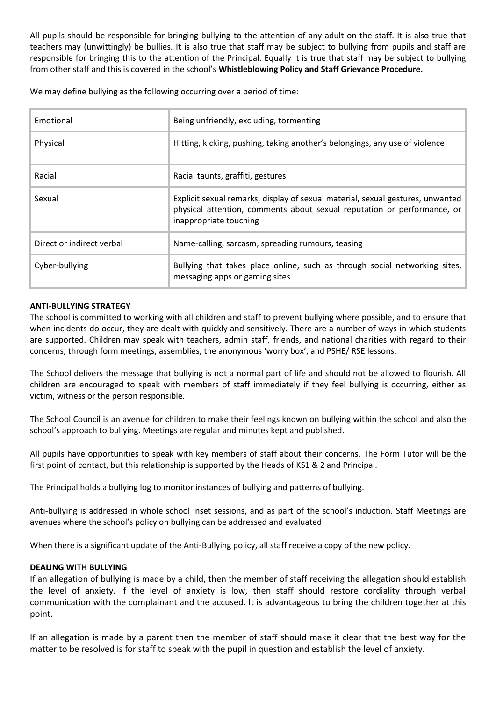All pupils should be responsible for bringing bullying to the attention of any adult on the staff. It is also true that teachers may (unwittingly) be bullies. It is also true that staff may be subject to bullying from pupils and staff are responsible for bringing this to the attention of the Principal. Equally it is true that staff may be subject to bullying from other staff and this is covered in the school's **Whistleblowing Policy and Staff Grievance Procedure.**

We may define bullying as the following occurring over a period of time:

| Emotional                 | Being unfriendly, excluding, tormenting                                                                                                                                             |  |
|---------------------------|-------------------------------------------------------------------------------------------------------------------------------------------------------------------------------------|--|
| Physical                  | Hitting, kicking, pushing, taking another's belongings, any use of violence                                                                                                         |  |
| Racial                    | Racial taunts, graffiti, gestures                                                                                                                                                   |  |
| Sexual                    | Explicit sexual remarks, display of sexual material, sexual gestures, unwanted<br>physical attention, comments about sexual reputation or performance, or<br>inappropriate touching |  |
| Direct or indirect verbal | Name-calling, sarcasm, spreading rumours, teasing                                                                                                                                   |  |
| Cyber-bullying            | Bullying that takes place online, such as through social networking sites,<br>messaging apps or gaming sites                                                                        |  |

#### **ANTI-BULLYING STRATEGY**

The school is committed to working with all children and staff to prevent bullying where possible, and to ensure that when incidents do occur, they are dealt with quickly and sensitively. There are a number of ways in which students are supported. Children may speak with teachers, admin staff, friends, and national charities with regard to their concerns; through form meetings, assemblies, the anonymous 'worry box', and PSHE/ RSE lessons.

The School delivers the message that bullying is not a normal part of life and should not be allowed to flourish. All children are encouraged to speak with members of staff immediately if they feel bullying is occurring, either as victim, witness or the person responsible.

The School Council is an avenue for children to make their feelings known on bullying within the school and also the school's approach to bullying. Meetings are regular and minutes kept and published.

All pupils have opportunities to speak with key members of staff about their concerns. The Form Tutor will be the first point of contact, but this relationship is supported by the Heads of KS1 & 2 and Principal.

The Principal holds a bullying log to monitor instances of bullying and patterns of bullying.

Anti-bullying is addressed in whole school inset sessions, and as part of the school's induction. Staff Meetings are avenues where the school's policy on bullying can be addressed and evaluated.

When there is a significant update of the Anti-Bullying policy, all staff receive a copy of the new policy.

#### **DEALING WITH BULLYING**

If an allegation of bullying is made by a child, then the member of staff receiving the allegation should establish the level of anxiety. If the level of anxiety is low, then staff should restore cordiality through verbal communication with the complainant and the accused. It is advantageous to bring the children together at this point.

If an allegation is made by a parent then the member of staff should make it clear that the best way for the matter to be resolved is for staff to speak with the pupil in question and establish the level of anxiety.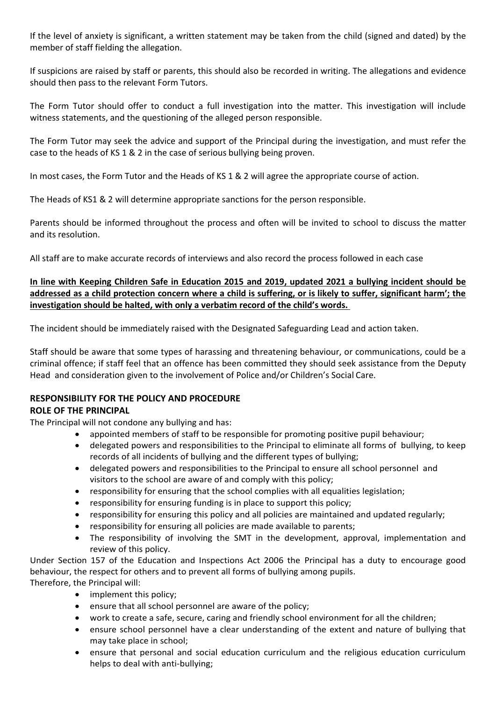If the level of anxiety is significant, a written statement may be taken from the child (signed and dated) by the member of staff fielding the allegation.

If suspicions are raised by staff or parents, this should also be recorded in writing. The allegations and evidence should then pass to the relevant Form Tutors.

The Form Tutor should offer to conduct a full investigation into the matter. This investigation will include witness statements, and the questioning of the alleged person responsible.

The Form Tutor may seek the advice and support of the Principal during the investigation, and must refer the case to the heads of KS 1 & 2 in the case of serious bullying being proven.

In most cases, the Form Tutor and the Heads of KS 1 & 2 will agree the appropriate course of action.

The Heads of KS1 & 2 will determine appropriate sanctions for the person responsible.

Parents should be informed throughout the process and often will be invited to school to discuss the matter and its resolution.

All staff are to make accurate records of interviews and also record the process followed in each case

## **In line with Keeping Children Safe in Education 2015 and 2019, updated 2021 a bullying incident should be addressed as a child protection concern where a child is suffering, or is likely to suffer, significant harm'; the investigation should be halted, with only a verbatim record of the child's words.**

The incident should be immediately raised with the Designated Safeguarding Lead and action taken.

Staff should be aware that some types of harassing and threatening behaviour, or communications, could be a criminal offence; if staff feel that an offence has been committed they should seek assistance from the Deputy Head and consideration given to the involvement of Police and/or Children's Social Care.

# **RESPONSIBILITY FOR THE POLICY AND PROCEDURE**

## **ROLE OF THE PRINCIPAL**

The Principal will not condone any bullying and has:

- appointed members of staff to be responsible for promoting positive pupil behaviour;
- delegated powers and responsibilities to the Principal to eliminate all forms of bullying, to keep records of all incidents of bullying and the different types of bullying;
- delegated powers and responsibilities to the Principal to ensure all school personnel and visitors to the school are aware of and comply with this policy;
- responsibility for ensuring that the school complies with all equalities legislation;
- responsibility for ensuring funding is in place to support this policy;
- responsibility for ensuring this policy and all policies are maintained and updated regularly;
- responsibility for ensuring all policies are made available to parents;
- The responsibility of involving the SMT in the development, approval, implementation and review of this policy.

Under Section 157 of the Education and Inspections Act 2006 the Principal has a duty to encourage good behaviour, the respect for others and to prevent all forms of bullying among pupils. Therefore, the Principal will:

- implement this policy;
	- ensure that all school personnel are aware of the policy;
	- work to create a safe, secure, caring and friendly school environment for all the children;
	- ensure school personnel have a clear understanding of the extent and nature of bullying that may take place in school;
	- ensure that personal and social education curriculum and the religious education curriculum helps to deal with anti-bullying;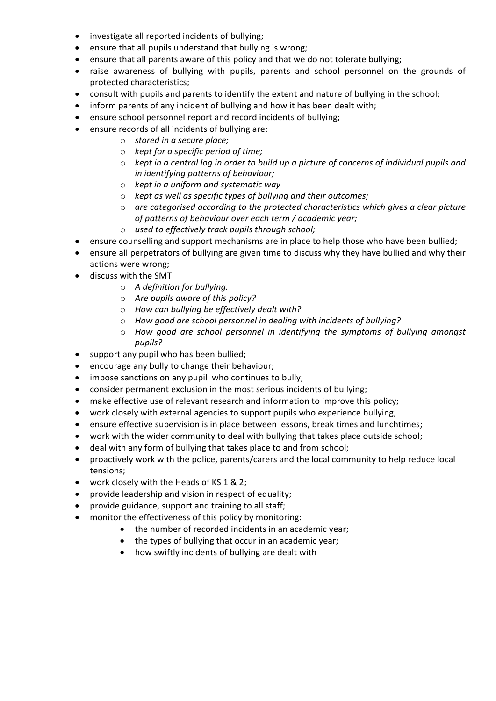- investigate all reported incidents of bullying;
- ensure that all pupils understand that bullying is wrong;
- ensure that all parents aware of this policy and that we do not tolerate bullying;
- raise awareness of bullying with pupils, parents and school personnel on the grounds of protected characteristics;
- consult with pupils and parents to identify the extent and nature of bullying in the school;
- inform parents of any incident of bullying and how it has been dealt with;
- ensure school personnel report and record incidents of bullying;
- ensure records of all incidents of bullying are:
	- o *stored in a secure place;*
	- o *kept for a specific period of time;*
	- o *kept in a central log in order to build up a picture of concerns of individual pupils and in identifying patterns of behaviour;*
	- o *kept in a uniform and systematic way*
	- o *kept as well as specific types of bullying and their outcomes;*
	- o *are categorised according to the protected characteristics which gives a clear picture of patterns of behaviour over each term / academic year;*
	- o *used to effectively track pupils through school;*
- ensure counselling and support mechanisms are in place to help those who have been bullied;
- ensure all perpetrators of bullying are given time to discuss why they have bullied and why their actions were wrong;
- discuss with the SMT
	- o *A definition for bullying.*
	- o *Are pupils aware of this policy?*
	- o *How can bullying be effectively dealt with?*
	- o *How good are school personnel in dealing with incidents of bullying?*
	- o *How good are school personnel in identifying the symptoms of bullying amongst pupils?*
- support any pupil who has been bullied;
- encourage any bully to change their behaviour;
- impose sanctions on any pupil who continues to bully;
- consider permanent exclusion in the most serious incidents of bullying;
- make effective use of relevant research and information to improve this policy;
- work closely with external agencies to support pupils who experience bullying;
- ensure effective supervision is in place between lessons, break times and lunchtimes;
- work with the wider community to deal with bullying that takes place outside school;
- deal with any form of bullying that takes place to and from school;
- proactively work with the police, parents/carers and the local community to help reduce local tensions;
- work closely with the Heads of KS 1 & 2;
- provide leadership and vision in respect of equality;
- provide guidance, support and training to all staff;
- monitor the effectiveness of this policy by monitoring:
	- the number of recorded incidents in an academic year;
	- the types of bullying that occur in an academic year;
	- how swiftly incidents of bullying are dealt with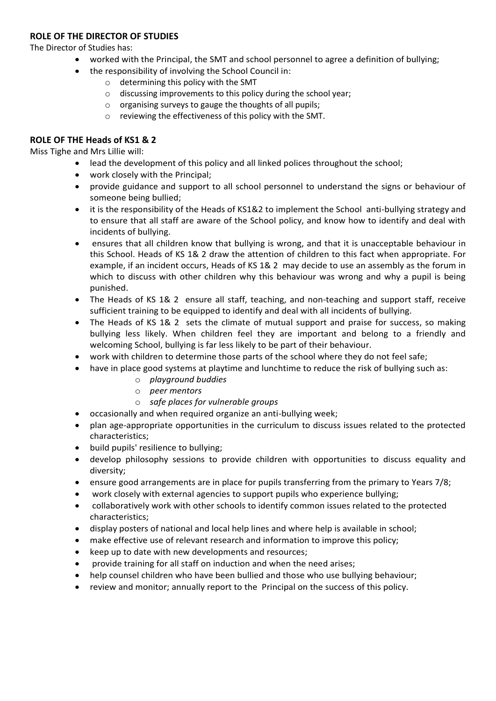#### **ROLE OF THE DIRECTOR OF STUDIES**

The Director of Studies has:

- worked with the Principal, the SMT and school personnel to agree a definition of bullying;
- the responsibility of involving the School Council in:
	- o determining this policy with the SMT
	- o discussing improvements to this policy during the school year;
	- o organising surveys to gauge the thoughts of all pupils;
	- o reviewing the effectiveness of this policy with the SMT.

#### **ROLE OF THE Heads of KS1 & 2**

Miss Tighe and Mrs Lillie will:

- lead the development of this policy and all linked polices throughout the school;
- work closely with the Principal;
- provide guidance and support to all school personnel to understand the signs or behaviour of someone being bullied;
- it is the responsibility of the Heads of KS1&2 to implement the School anti-bullying strategy and to ensure that all staff are aware of the School policy, and know how to identify and deal with incidents of bullying.
- ensures that all children know that bullying is wrong, and that it is unacceptable behaviour in this School. Heads of KS 1& 2 draw the attention of children to this fact when appropriate. For example, if an incident occurs, Heads of KS 1& 2 may decide to use an assembly as the forum in which to discuss with other children why this behaviour was wrong and why a pupil is being punished.
- The Heads of KS 1& 2 ensure all staff, teaching, and non-teaching and support staff, receive sufficient training to be equipped to identify and deal with all incidents of bullying.
- The Heads of KS 1& 2 sets the climate of mutual support and praise for success, so making bullying less likely. When children feel they are important and belong to a friendly and welcoming School, bullying is far less likely to be part of their behaviour.
- work with children to determine those parts of the school where they do not feel safe;
- have in place good systems at playtime and lunchtime to reduce the risk of bullying such as:
	- o *playground buddies*
	- o *peer mentors*
	- o *safe places for vulnerable groups*
- occasionally and when required organize an anti-bullying week;
- plan age-appropriate opportunities in the curriculum to discuss issues related to the protected characteristics;
- build pupils' resilience to bullying;
- develop philosophy sessions to provide children with opportunities to discuss equality and diversity;
- ensure good arrangements are in place for pupils transferring from the primary to Years 7/8;
- work closely with external agencies to support pupils who experience bullying;
- collaboratively work with other schools to identify common issues related to the protected characteristics;
- display posters of national and local help lines and where help is available in school;
- make effective use of relevant research and information to improve this policy;
- keep up to date with new developments and resources;
- provide training for all staff on induction and when the need arises;
- help counsel children who have been bullied and those who use bullying behaviour;
- review and monitor; annually report to the Principal on the success of this policy.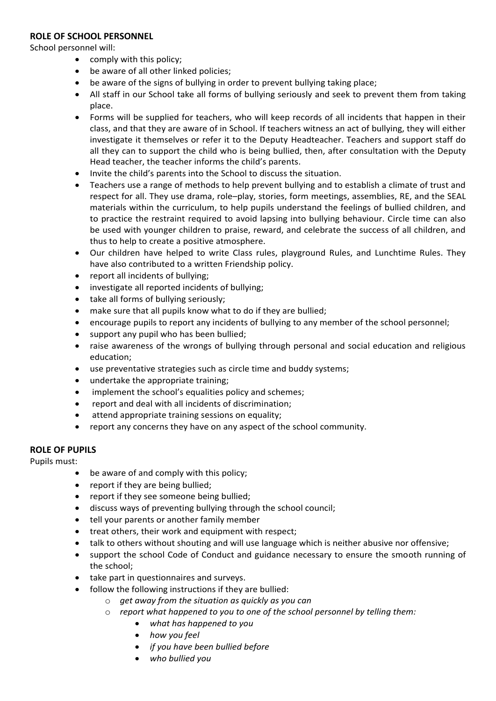#### **ROLE OF SCHOOL PERSONNEL**

School personnel will:

- comply with this policy;
- be aware of all other linked policies;
- be aware of the signs of bullying in order to prevent bullying taking place;
- All staff in our School take all forms of bullying seriously and seek to prevent them from taking place.
- Forms will be supplied for teachers, who will keep records of all incidents that happen in their class, and that they are aware of in School. If teachers witness an act of bullying, they will either investigate it themselves or refer it to the Deputy Headteacher. Teachers and support staff do all they can to support the child who is being bullied, then, after consultation with the Deputy Head teacher, the teacher informs the child's parents.
- Invite the child's parents into the School to discuss the situation.
- Teachers use a range of methods to help prevent bullying and to establish a climate of trust and respect for all. They use drama, role–play, stories, form meetings, assemblies, RE, and the SEAL materials within the curriculum, to help pupils understand the feelings of bullied children, and to practice the restraint required to avoid lapsing into bullying behaviour. Circle time can also be used with younger children to praise, reward, and celebrate the success of all children, and thus to help to create a positive atmosphere.
- Our children have helped to write Class rules, playground Rules, and Lunchtime Rules. They have also contributed to a written Friendship policy.
- report all incidents of bullying;
- investigate all reported incidents of bullying;
- take all forms of bullying seriously;
- make sure that all pupils know what to do if they are bullied;
- encourage pupils to report any incidents of bullying to any member of the school personnel;
- support any pupil who has been bullied;
- raise awareness of the wrongs of bullying through personal and social education and religious education;
- use preventative strategies such as circle time and buddy systems;
- undertake the appropriate training;
- implement the school's equalities policy and schemes;
- report and deal with all incidents of discrimination;
- attend appropriate training sessions on equality;
- report any concerns they have on any aspect of the school community.

#### **ROLE OF PUPILS**

Pupils must:

- be aware of and comply with this policy;
- report if they are being bullied;
- report if they see someone being bullied;
- discuss ways of preventing bullying through the school council;
- tell your parents or another family member
- treat others, their work and equipment with respect;
- talk to others without shouting and will use language which is neither abusive nor offensive;
- support the school Code of Conduct and guidance necessary to ensure the smooth running of the school;
- take part in questionnaires and surveys.
- follow the following instructions if they are bullied:
	- o *get away from the situation as quickly as you can*
	- o *report what happened to you to one of the school personnel by telling them:*
		- *what has happened to you*
			- *how you feel*
			- *if you have been bullied before*
			- *who bullied you*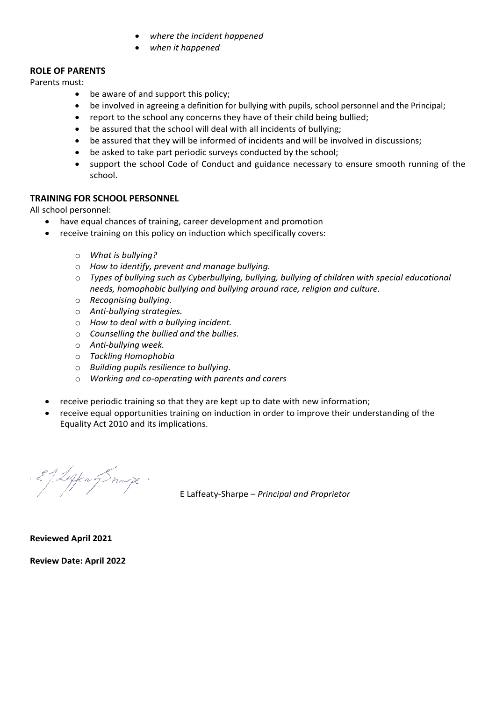- *where the incident happened*
- *when it happened*

### **ROLE OF PARENTS**

Parents must:

- be aware of and support this policy;
- be involved in agreeing a definition for bullying with pupils, school personnel and the Principal;
- report to the school any concerns they have of their child being bullied;
- be assured that the school will deal with all incidents of bullying;
- be assured that they will be informed of incidents and will be involved in discussions;
- be asked to take part periodic surveys conducted by the school;
- support the school Code of Conduct and guidance necessary to ensure smooth running of the school.

#### **TRAINING FOR SCHOOL PERSONNEL**

All school personnel:

- have equal chances of training, career development and promotion
- receive training on this policy on induction which specifically covers:
	- o *What is bullying?*
	- o *How to identify, prevent and manage bullying.*
	- o *Types of bullying such as Cyberbullying, bullying, bullying of children with special educational needs, homophobic bullying and bullying around race, religion and culture.*
	- o *Recognising bullying.*
	- o *Anti-bullying strategies.*
	- o *How to deal with a bullying incident.*
	- o *Counselling the bullied and the bullies.*
	- o *Anti-bullying week.*
	- o *Tackling Homophobia*
	- o *Building pupils resilience to bullying.*
	- o *Working and co-operating with parents and carers*
- receive periodic training so that they are kept up to date with new information;
- receive equal opportunities training on induction in order to improve their understanding of the Equality Act 2010 and its implications.

EJ Leffen g Snavye.

E Laffeaty-Sharpe – *Principal and Proprietor*

**Reviewed April 2021**

**Review Date: April 2022**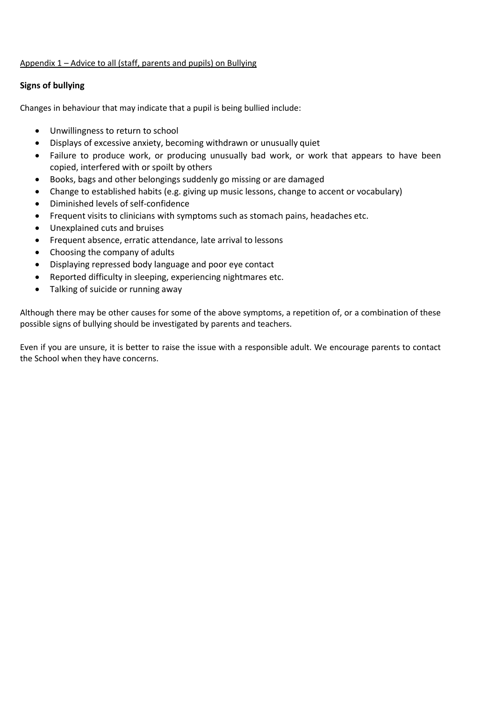#### Appendix 1 – Advice to all (staff, parents and pupils) on Bullying

#### **Signs of bullying**

Changes in behaviour that may indicate that a pupil is being bullied include:

- Unwillingness to return to school
- Displays of excessive anxiety, becoming withdrawn or unusually quiet
- Failure to produce work, or producing unusually bad work, or work that appears to have been copied, interfered with or spoilt by others
- Books, bags and other belongings suddenly go missing or are damaged
- Change to established habits (e.g. giving up music lessons, change to accent or vocabulary)
- Diminished levels of self-confidence
- Frequent visits to clinicians with symptoms such as stomach pains, headaches etc.
- Unexplained cuts and bruises
- Frequent absence, erratic attendance, late arrival to lessons
- Choosing the company of adults
- Displaying repressed body language and poor eye contact
- Reported difficulty in sleeping, experiencing nightmares etc.
- Talking of suicide or running away

Although there may be other causes for some of the above symptoms, a repetition of, or a combination of these possible signs of bullying should be investigated by parents and teachers.

Even if you are unsure, it is better to raise the issue with a responsible adult. We encourage parents to contact the School when they have concerns.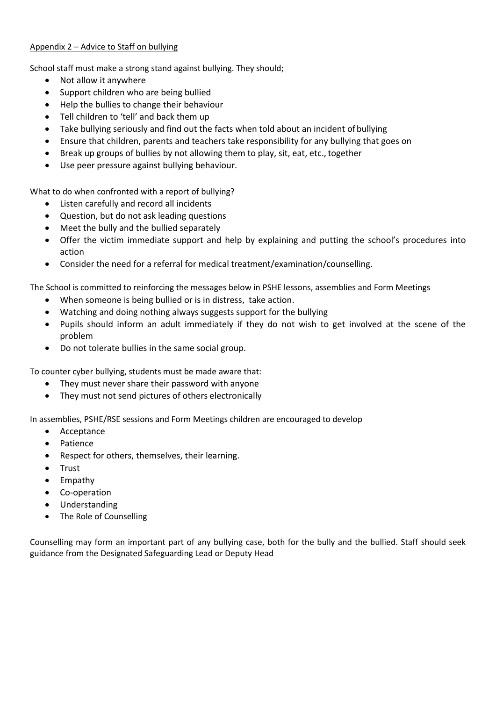#### Appendix 2 – Advice to Staff on bullying

School staff must make a strong stand against bullying. They should;

- Not allow it anywhere
- Support children who are being bullied
- Help the bullies to change their behaviour
- Tell children to 'tell' and back them up
- Take bullying seriously and find out the facts when told about an incident of bullying
- Ensure that children, parents and teachers take responsibility for any bullying that goes on
- Break up groups of bullies by not allowing them to play, sit, eat, etc., together
- Use peer pressure against bullying behaviour.

What to do when confronted with a report of bullying?

- Listen carefully and record all incidents
- Question, but do not ask leading questions
- Meet the bully and the bullied separately
- Offer the victim immediate support and help by explaining and putting the school's procedures into action
- Consider the need for a referral for medical treatment/examination/counselling.

The School is committed to reinforcing the messages below in PSHE lessons, assemblies and Form Meetings

- When someone is being bullied or is in distress, take action.
- Watching and doing nothing always suggests support for the bullying
- Pupils should inform an adult immediately if they do not wish to get involved at the scene of the problem
- Do not tolerate bullies in the same social group.

To counter cyber bullying, students must be made aware that:

- They must never share their password with anyone
- They must not send pictures of others electronically

In assemblies, PSHE/RSE sessions and Form Meetings children are encouraged to develop

- Acceptance
- Patience
- Respect for others, themselves, their learning.
- Trust
- Empathy
- Co-operation
- Understanding
- The Role of Counselling

Counselling may form an important part of any bullying case, both for the bully and the bullied. Staff should seek guidance from the Designated Safeguarding Lead or Deputy Head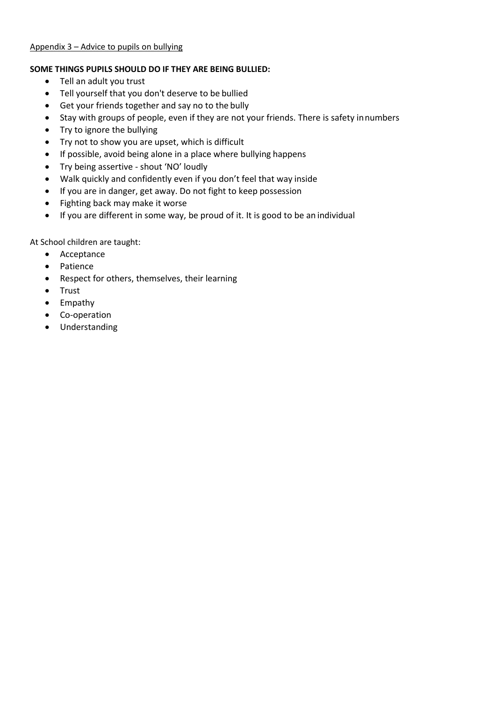#### Appendix 3 – Advice to pupils on bullying

#### **SOME THINGS PUPILS SHOULD DO IF THEY ARE BEING BULLIED:**

- Tell an adult you trust
- Tell yourself that you don't deserve to be bullied
- Get your friends together and say no to the bully
- Stay with groups of people, even if they are not your friends. There is safety innumbers
- Try to ignore the bullying
- Try not to show you are upset, which is difficult
- If possible, avoid being alone in a place where bullying happens
- Try being assertive shout 'NO' loudly
- Walk quickly and confidently even if you don't feel that way inside
- If you are in danger, get away. Do not fight to keep possession
- Fighting back may make it worse
- If you are different in some way, be proud of it. It is good to be an individual

At School children are taught:

- Acceptance
- Patience
- Respect for others, themselves, their learning
- Trust
- Empathy
- Co-operation
- Understanding